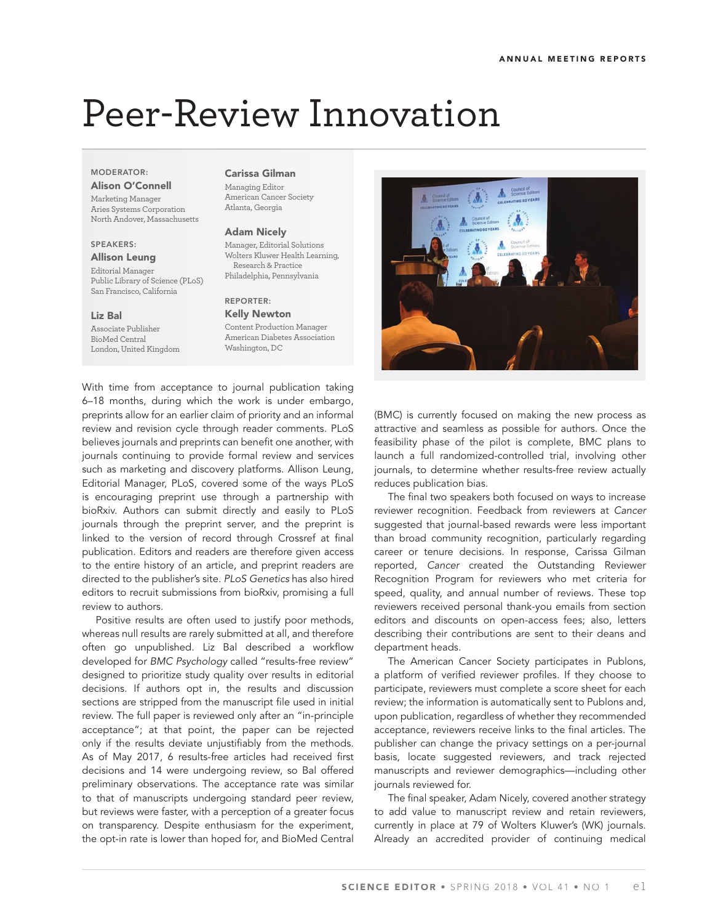# Peer-Review Innovation

## **MODERATOR: Alison O'Connell**

Marketing Manager Aries Systems Corporation North Andover, Massachusetts

# **SPEAKERS:**

#### **Allison Leung**

Editorial Manager Public Library of Science (PLoS) San Francisco, California

## **Liz Bal**

Associate Publisher BioMed Central London, United Kingdom

# **Carissa Gilman**

Managing Editor American Cancer Society Atlanta, Georgia

#### **Adam Nicely**

Manager, Editorial Solutions Wolters Kluwer Health Learning, Research & Practice Philadelphia, Pennsylvania

## **REPORTER:**

**Kelly Newton** Content Production Manager American Diabetes Association Washington, DC

With time from acceptance to journal publication taking 6–18 months, during which the work is under embargo, preprints allow for an earlier claim of priority and an informal review and revision cycle through reader comments. PLoS believes journals and preprints can benefit one another, with journals continuing to provide formal review and services such as marketing and discovery platforms. Allison Leung, Editorial Manager, PLoS, covered some of the ways PLoS is encouraging preprint use through a partnership with bioRxiv. Authors can submit directly and easily to PLoS journals through the preprint server, and the preprint is linked to the version of record through Crossref at final publication. Editors and readers are therefore given access to the entire history of an article, and preprint readers are directed to the publisher's site. PLoS Genetics has also hired editors to recruit submissions from bioRxiv, promising a full review to authors.

Positive results are often used to justify poor methods, whereas null results are rarely submitted at all, and therefore often go unpublished. Liz Bal described a workflow developed for BMC Psychology called "results-free review" designed to prioritize study quality over results in editorial decisions. If authors opt in, the results and discussion sections are stripped from the manuscript file used in initial review. The full paper is reviewed only after an "in-principle acceptance"; at that point, the paper can be rejected only if the results deviate unjustifiably from the methods. As of May 2017, 6 results-free articles had received first decisions and 14 were undergoing review, so Bal offered preliminary observations. The acceptance rate was similar to that of manuscripts undergoing standard peer review, but reviews were faster, with a perception of a greater focus on transparency. Despite enthusiasm for the experiment, the opt-in rate is lower than hoped for, and BioMed Central



(BMC) is currently focused on making the new process as attractive and seamless as possible for authors. Once the feasibility phase of the pilot is complete, BMC plans to launch a full randomized-controlled trial, involving other journals, to determine whether results-free review actually reduces publication bias.

The final two speakers both focused on ways to increase reviewer recognition. Feedback from reviewers at Cancer suggested that journal-based rewards were less important than broad community recognition, particularly regarding career or tenure decisions. In response, Carissa Gilman reported, Cancer created the Outstanding Reviewer Recognition Program for reviewers who met criteria for speed, quality, and annual number of reviews. These top reviewers received personal thank-you emails from section editors and discounts on open-access fees; also, letters describing their contributions are sent to their deans and department heads.

The American Cancer Society participates in Publons, a platform of verified reviewer profiles. If they choose to participate, reviewers must complete a score sheet for each review; the information is automatically sent to Publons and, upon publication, regardless of whether they recommended acceptance, reviewers receive links to the final articles. The publisher can change the privacy settings on a per-journal basis, locate suggested reviewers, and track rejected manuscripts and reviewer demographics—including other journals reviewed for.

The final speaker, Adam Nicely, covered another strategy to add value to manuscript review and retain reviewers, currently in place at 79 of Wolters Kluwer's (WK) journals. Already an accredited provider of continuing medical